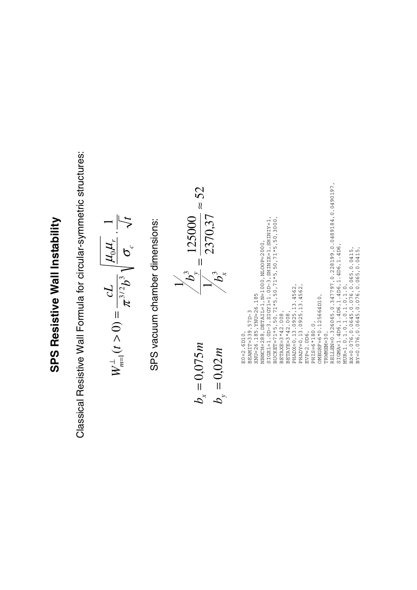## **SPS Resistive Wall Instability**  SPS Resistive Wall Instability

Classical Resistive Wall Formula for circular-symmetric structures: Classical Resistive Wall Formula for circular-symmetric structures:

$$
W_{m=1}^{\perp}(t>0)=\frac{cL}{\pi^{3/2}b^3}\sqrt{\frac{\mu_0\mu_r}{\sigma_c}\cdot\frac{1}{\sqrt{t}}}
$$

SPS vacuum chamber dimensions: SPS vacuum chamber dimensions:

$$
b_x = 0.075m
$$
  
\n
$$
b_y = 0.02m
$$
  
\n
$$
b_y = 0.02m
$$
  
\n
$$
b_y = 0.02m
$$
  
\n
$$
b_y = 0.02m
$$
  
\n
$$
b_y = 0.02m
$$

 RELLEN=0.326065,0.347797,0.228199,0.0489184,0.0490197, RELLEN=0.326065, 0.347797, 0.228199, 0.0489184, 0.0490197, SIGX1=1.0D-3,SIGY1=1.0D-3,SHINIX=1,SHINIY=1, BUCKET=71\*5,50,71\*5,50,71\*5,50,71\*5,50,3000,  $\begin{array}{l} \mathtt{NNCHE-288\ ,} \mathtt{DETPAIL-1\ ,} \mathtt{N=1000\ ,} \mathtt{NLOOP=2000\ ,} \\ \mathtt{SICX1=1\ .\ 0D-3\ ,} \mathtt{SICY1=1\ .\ 0D-3\ ,} \mathtt{SHINIX-1\ ,} \mathtt{SHINIX-1\ ,} \\ \mathtt{BUCKET=71*5\ ,} \mathtt{50\ ,} \mathtt{71*5\ ,} \mathtt{50\ ,} \mathtt{71*5\ ,} \mathtt{50\ ,} \mathtt{71*5\ ,} \mathtt{50\ ,} \mat$  NBNCH=288,DETAIL=1,N=1000,NLOOP=2000, SIGMA=1.4D6,1.4D6,1.4D6,1.4D6,1.4D6,  $\begin{array}{l} \texttt{STCMA=1.4D6,1.4D6,1.4D6,1.4D6,1.4D6,}\\ \texttt{MUE=1.0,1.0,1.0,1.0,1.0,1.0,1.0,}\\ \texttt{BX=0.076,0.0645,0.076,0.065,0.0415,}\\ \texttt{BY=0.076,0.0645,0.076,0.065,0.0415,}\\ \end{array}$  BX=0.076,0.0645,0.076,0.065,0.0415, BY=0.076,0.0645,0.076,0.065,0.0415, PHADX=0,13.0925,13.4562, PHADY=0,13.0925,13.4562, MUR=1.0,1.0,1.0,1.0,1.0, PHADX=0,13.0925,13.4562,<br>PHADY=0,13.0925,13.4562, XNU=26.185,YNU=26.185 OMEGRF=6\*0.125664D10, BEAMIT=339.57D-3<br>XNU=26.185, XNU=26.185 OMEGRF=6\*0.125664D10, BEAMIT=339.57D-3 BETAXE=3\*42.008, BETAYE=3\*42.008,  $BETAYE=3*42.008$  PHIS=6\*180.0,  $PHIS=6*180.0,$  E0=2.6D10, EVP=2.0D6, TRWMEM=30,  $EVP=2.0D6$ ,  $E0 = 2.6D10$ , TRWMEM=30,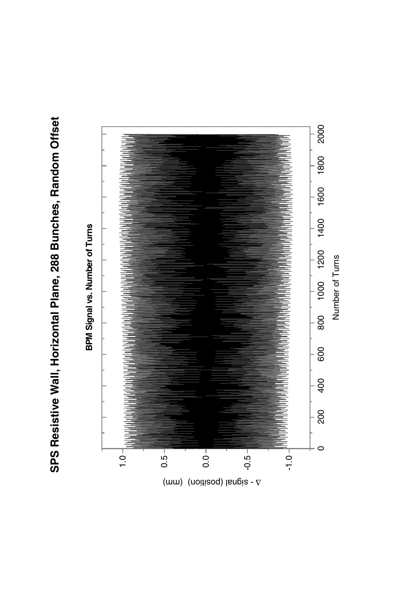

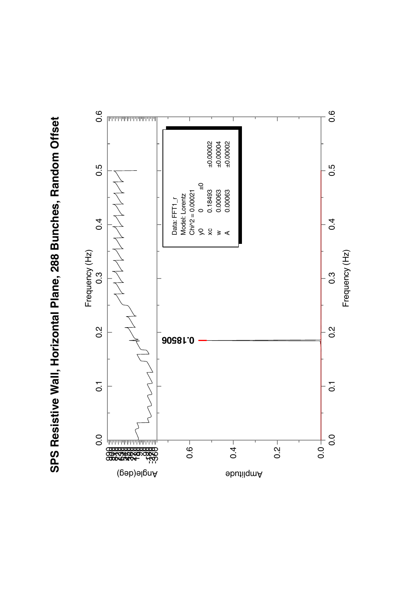

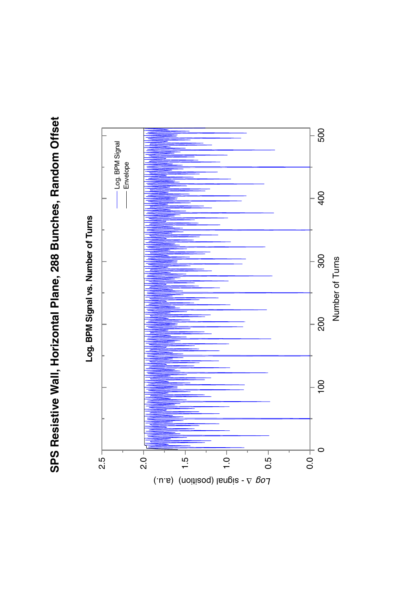

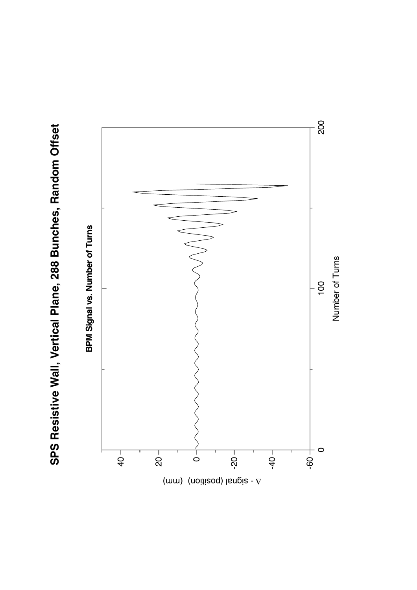

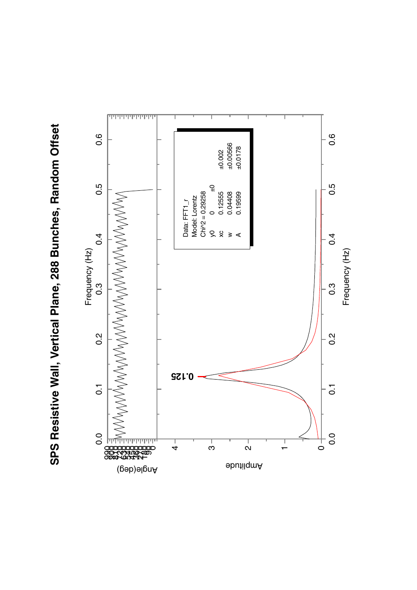

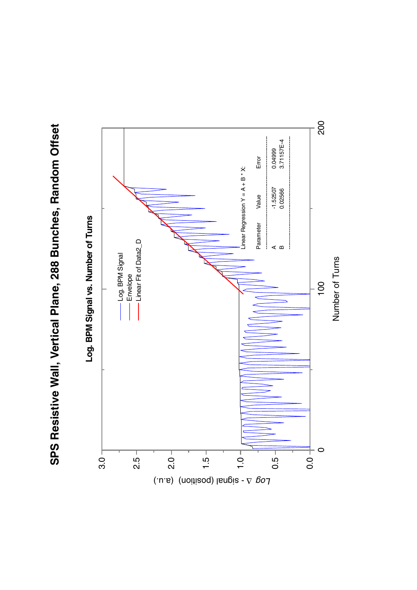



Log. BPM Signal vs. Number of Turns **Log. BPM Signal vs. Number of Turns**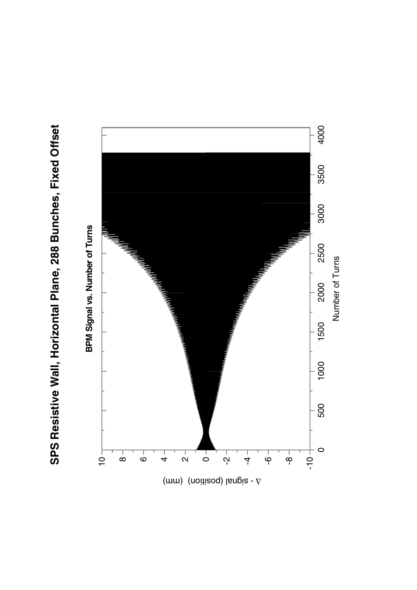

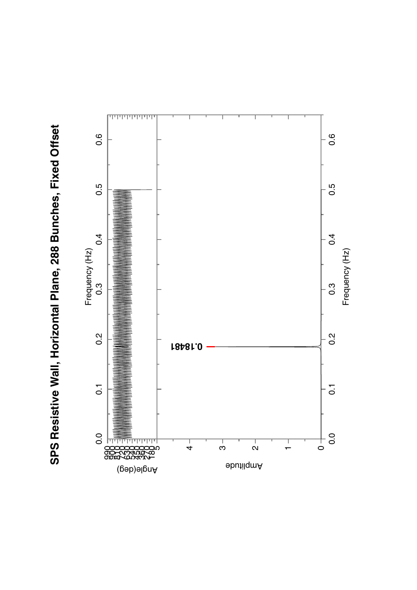

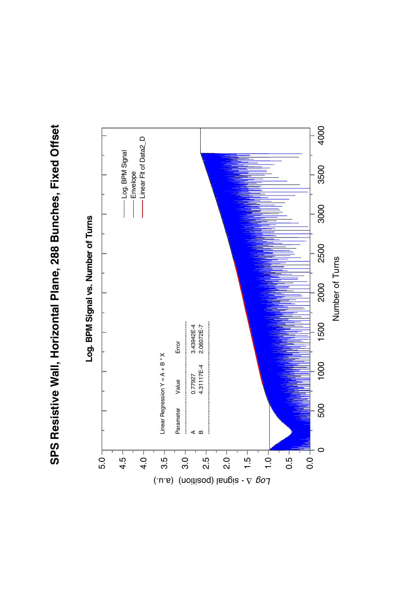## **SPS Resistive Wall, Horizontal Plane, 288 Bunches, Fixed Offset**  SPS Resistive Wall, Horizontal Plane, 288 Bunches, Fixed Offset

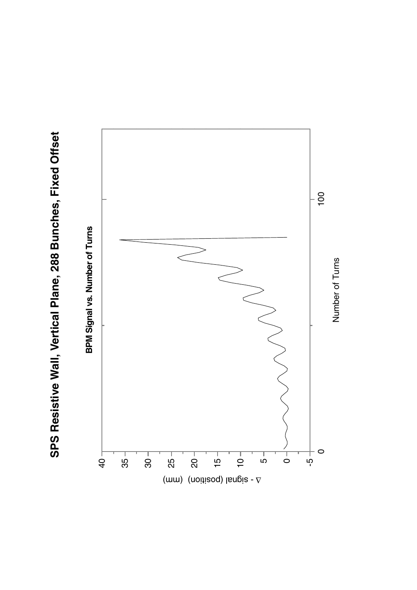

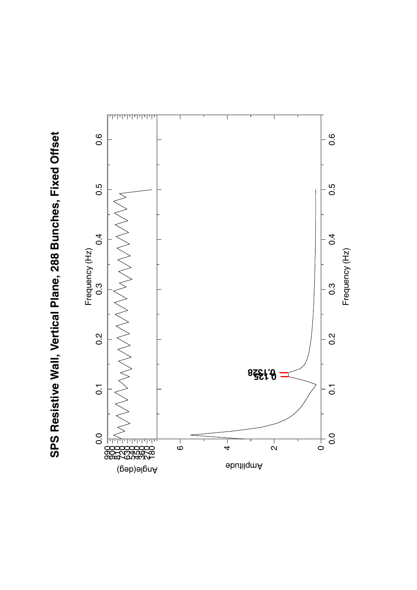